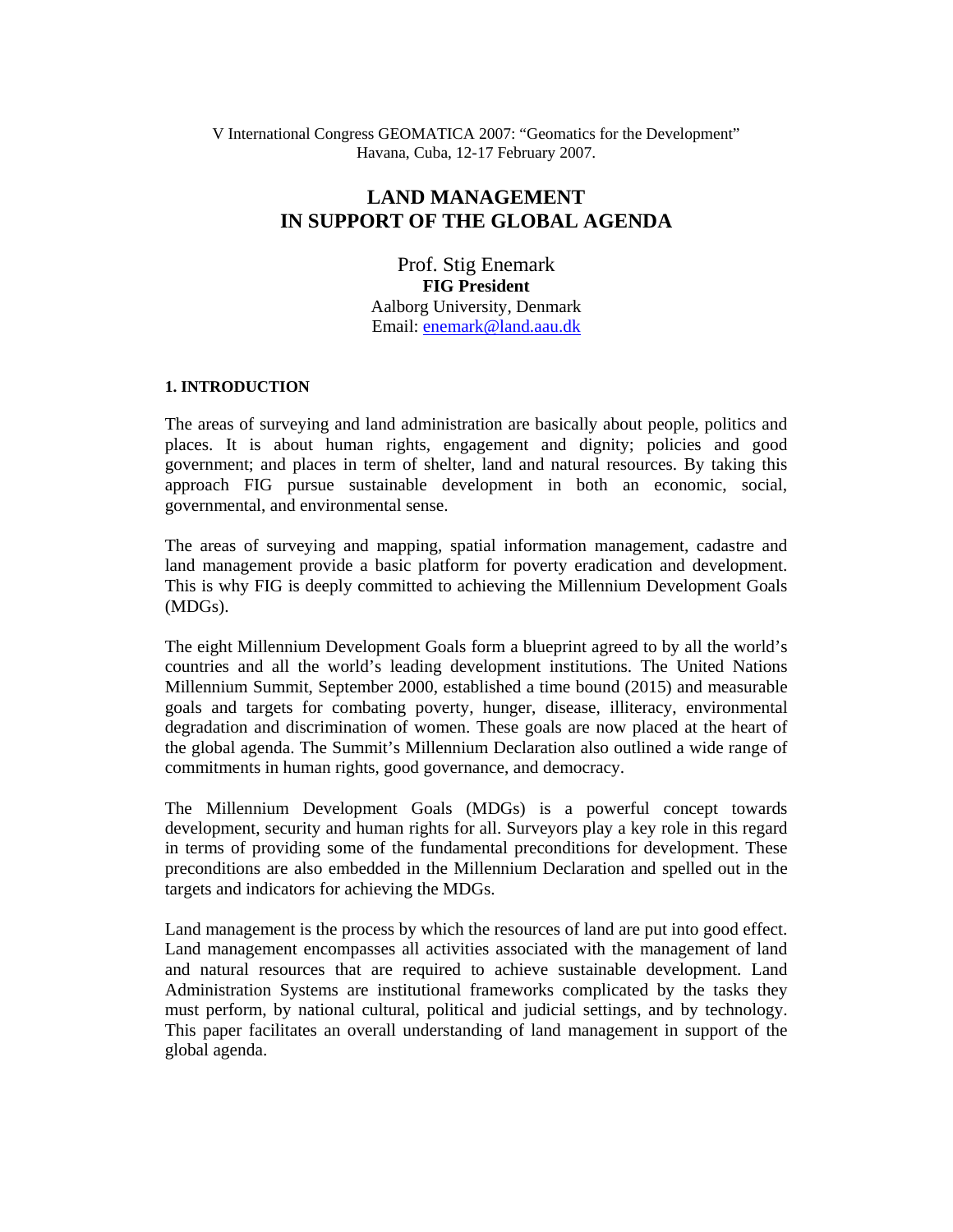V International Congress GEOMATICA 2007: "Geomatics for the Development" Havana, Cuba, 12-17 February 2007.

# **LAND MANAGEMENT IN SUPPORT OF THE GLOBAL AGENDA**

Prof. Stig Enemark **FIG President**  Aalborg University, Denmark Email: enemark@land.aau.dk

#### **1. INTRODUCTION**

The areas of surveying and land administration are basically about people, politics and places. It is about human rights, engagement and dignity; policies and good government; and places in term of shelter, land and natural resources. By taking this approach FIG pursue sustainable development in both an economic, social, governmental, and environmental sense.

The areas of surveying and mapping, spatial information management, cadastre and land management provide a basic platform for poverty eradication and development. This is why FIG is deeply committed to achieving the Millennium Development Goals (MDGs).

The eight Millennium Development Goals form a blueprint agreed to by all the world's countries and all the world's leading development institutions. The United Nations Millennium Summit, September 2000, established a time bound (2015) and measurable goals and targets for combating poverty, hunger, disease, illiteracy, environmental degradation and discrimination of women. These goals are now placed at the heart of the global agenda. The Summit's Millennium Declaration also outlined a wide range of commitments in human rights, good governance, and democracy.

The Millennium Development Goals (MDGs) is a powerful concept towards development, security and human rights for all. Surveyors play a key role in this regard in terms of providing some of the fundamental preconditions for development. These preconditions are also embedded in the Millennium Declaration and spelled out in the targets and indicators for achieving the MDGs.

Land management is the process by which the resources of land are put into good effect. Land management encompasses all activities associated with the management of land and natural resources that are required to achieve sustainable development. Land Administration Systems are institutional frameworks complicated by the tasks they must perform, by national cultural, political and judicial settings, and by technology. This paper facilitates an overall understanding of land management in support of the global agenda.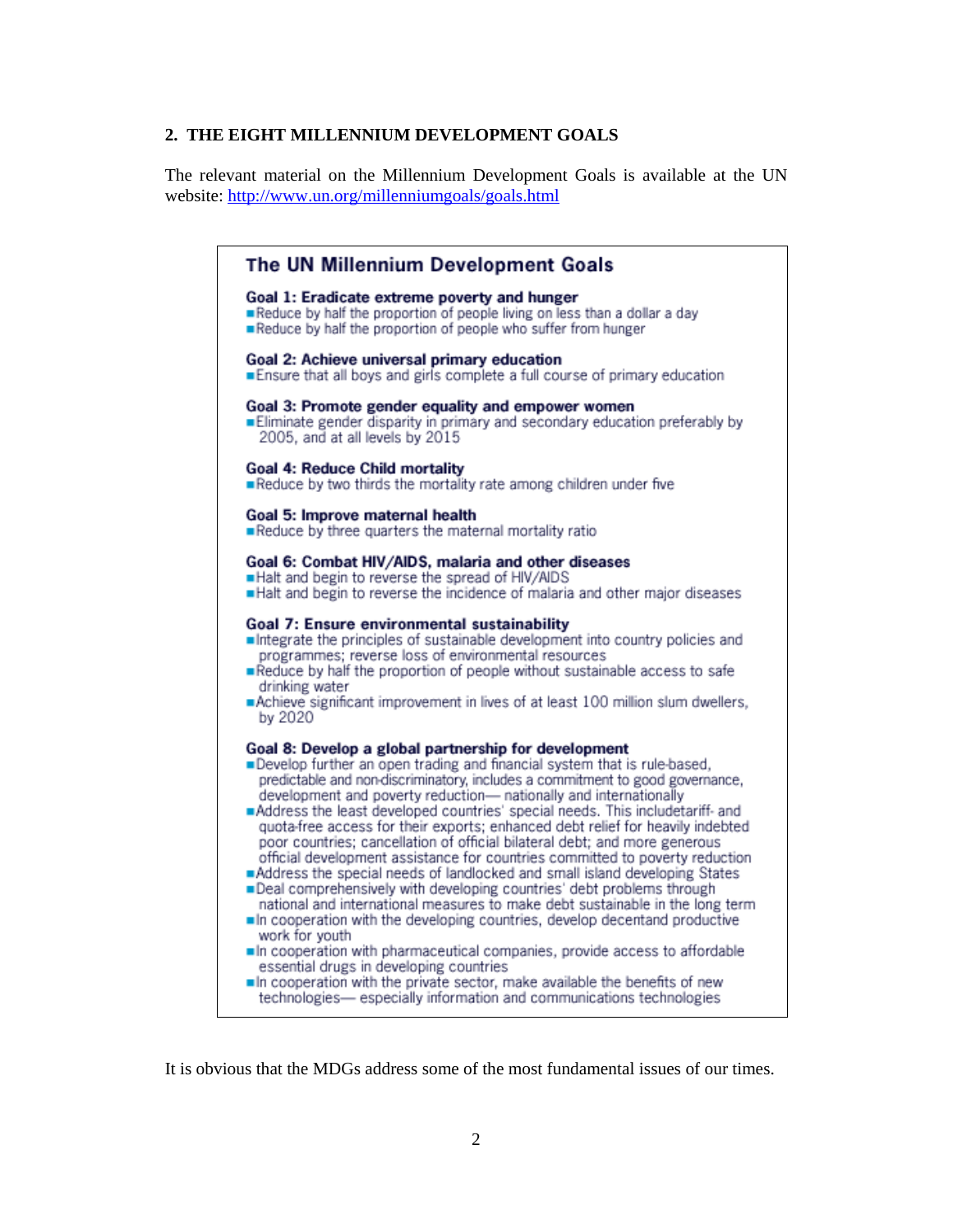#### **2. THE EIGHT MILLENNIUM DEVELOPMENT GOALS**

The relevant material on the Millennium Development Goals is available at the UN website: http://www.un.org/millenniumgoals/goals.html



It is obvious that the MDGs address some of the most fundamental issues of our times.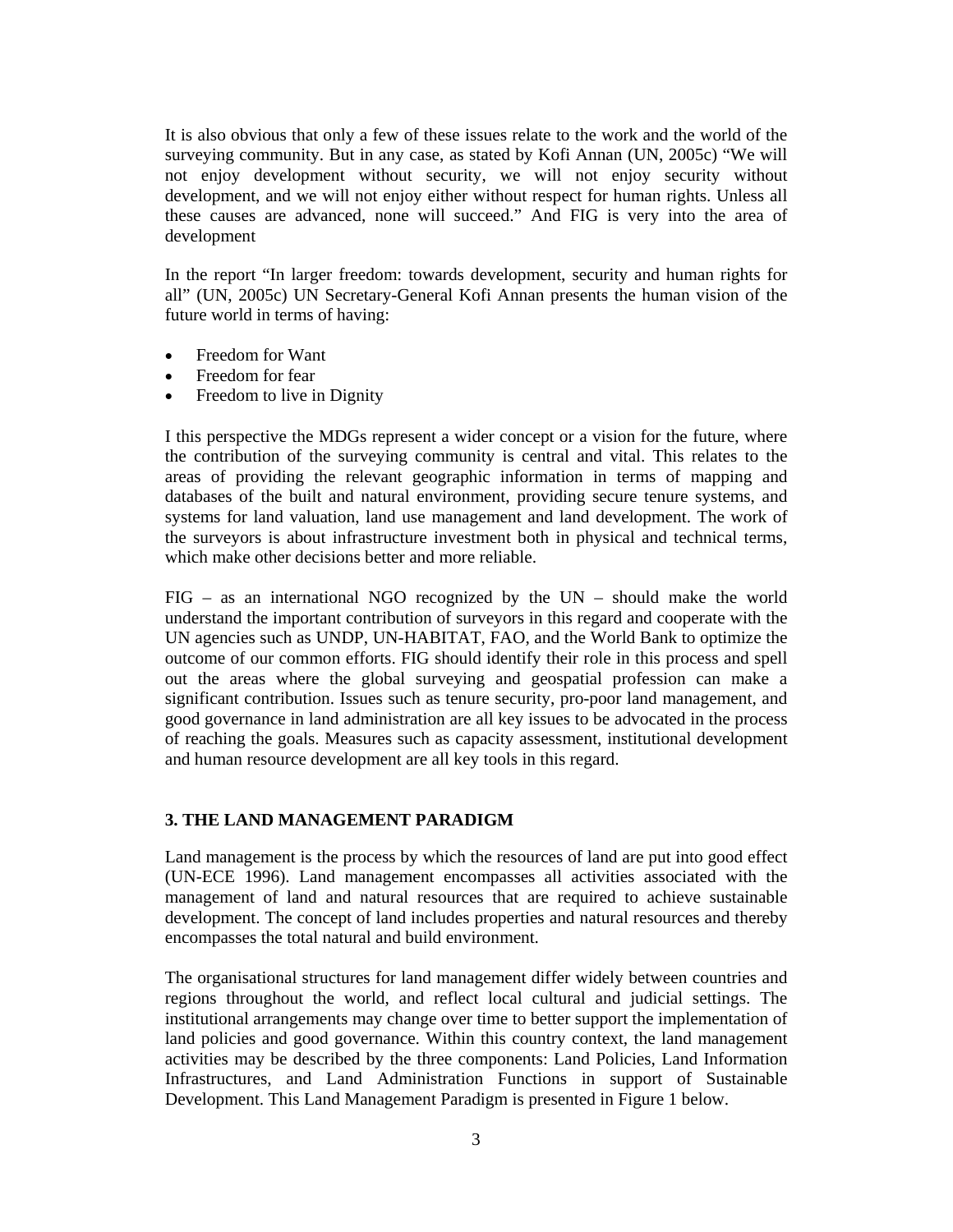It is also obvious that only a few of these issues relate to the work and the world of the surveying community. But in any case, as stated by Kofi Annan (UN, 2005c) "We will not enjoy development without security, we will not enjoy security without development, and we will not enjoy either without respect for human rights. Unless all these causes are advanced, none will succeed." And FIG is very into the area of development

In the report "In larger freedom: towards development, security and human rights for all" (UN, 2005c) UN Secretary-General Kofi Annan presents the human vision of the future world in terms of having:

- Freedom for Want
- Freedom for fear
- Freedom to live in Dignity

I this perspective the MDGs represent a wider concept or a vision for the future, where the contribution of the surveying community is central and vital. This relates to the areas of providing the relevant geographic information in terms of mapping and databases of the built and natural environment, providing secure tenure systems, and systems for land valuation, land use management and land development. The work of the surveyors is about infrastructure investment both in physical and technical terms, which make other decisions better and more reliable.

 $FIG - as an international NGO recognized by the UN - should make the world$ understand the important contribution of surveyors in this regard and cooperate with the UN agencies such as UNDP, UN-HABITAT, FAO, and the World Bank to optimize the outcome of our common efforts. FIG should identify their role in this process and spell out the areas where the global surveying and geospatial profession can make a significant contribution. Issues such as tenure security, pro-poor land management, and good governance in land administration are all key issues to be advocated in the process of reaching the goals. Measures such as capacity assessment, institutional development and human resource development are all key tools in this regard.

## **3. THE LAND MANAGEMENT PARADIGM**

Land management is the process by which the resources of land are put into good effect (UN-ECE 1996). Land management encompasses all activities associated with the management of land and natural resources that are required to achieve sustainable development. The concept of land includes properties and natural resources and thereby encompasses the total natural and build environment.

The organisational structures for land management differ widely between countries and regions throughout the world, and reflect local cultural and judicial settings. The institutional arrangements may change over time to better support the implementation of land policies and good governance. Within this country context, the land management activities may be described by the three components: Land Policies, Land Information Infrastructures, and Land Administration Functions in support of Sustainable Development. This Land Management Paradigm is presented in Figure 1 below.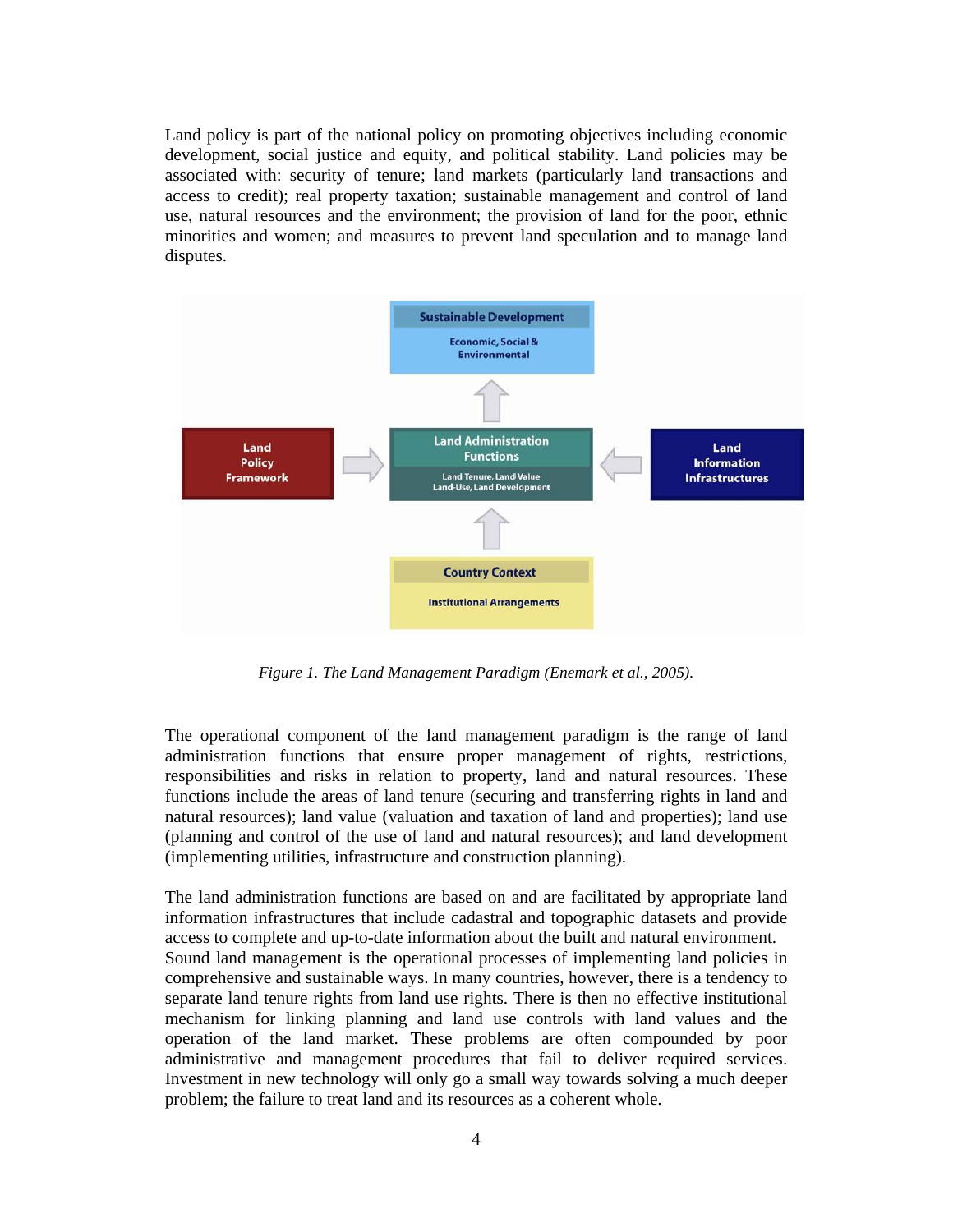Land policy is part of the national policy on promoting objectives including economic development, social justice and equity, and political stability. Land policies may be associated with: security of tenure; land markets (particularly land transactions and access to credit); real property taxation; sustainable management and control of land use, natural resources and the environment; the provision of land for the poor, ethnic minorities and women; and measures to prevent land speculation and to manage land disputes.



*Figure 1. The Land Management Paradigm (Enemark et al., 2005).* 

The operational component of the land management paradigm is the range of land administration functions that ensure proper management of rights, restrictions, responsibilities and risks in relation to property, land and natural resources. These functions include the areas of land tenure (securing and transferring rights in land and natural resources); land value (valuation and taxation of land and properties); land use (planning and control of the use of land and natural resources); and land development (implementing utilities, infrastructure and construction planning).

The land administration functions are based on and are facilitated by appropriate land information infrastructures that include cadastral and topographic datasets and provide access to complete and up-to-date information about the built and natural environment. Sound land management is the operational processes of implementing land policies in comprehensive and sustainable ways. In many countries, however, there is a tendency to separate land tenure rights from land use rights. There is then no effective institutional mechanism for linking planning and land use controls with land values and the operation of the land market. These problems are often compounded by poor administrative and management procedures that fail to deliver required services. Investment in new technology will only go a small way towards solving a much deeper problem; the failure to treat land and its resources as a coherent whole.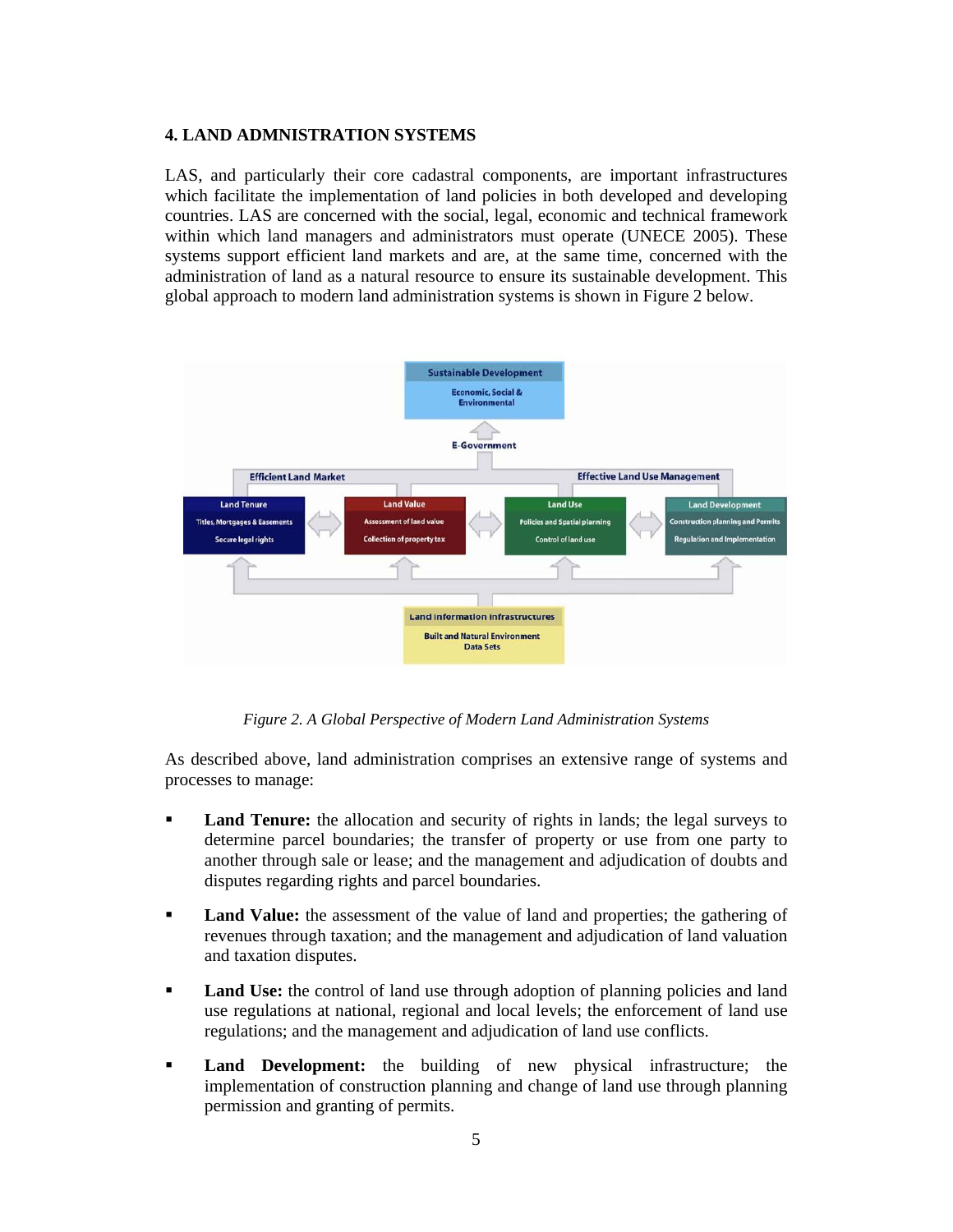#### **4. LAND ADMNISTRATION SYSTEMS**

LAS, and particularly their core cadastral components, are important infrastructures which facilitate the implementation of land policies in both developed and developing countries. LAS are concerned with the social, legal, economic and technical framework within which land managers and administrators must operate (UNECE 2005). These systems support efficient land markets and are, at the same time, concerned with the administration of land as a natural resource to ensure its sustainable development. This global approach to modern land administration systems is shown in Figure 2 below.



*Figure 2. A Global Perspective of Modern Land Administration Systems* 

As described above, land administration comprises an extensive range of systems and processes to manage:

- **Land Tenure:** the allocation and security of rights in lands; the legal surveys to determine parcel boundaries; the transfer of property or use from one party to another through sale or lease; and the management and adjudication of doubts and disputes regarding rights and parcel boundaries.
- **Land Value:** the assessment of the value of land and properties; the gathering of revenues through taxation; and the management and adjudication of land valuation and taxation disputes.
- **Land Use:** the control of land use through adoption of planning policies and land use regulations at national, regional and local levels; the enforcement of land use regulations; and the management and adjudication of land use conflicts.
- **Land Development:** the building of new physical infrastructure; the implementation of construction planning and change of land use through planning permission and granting of permits.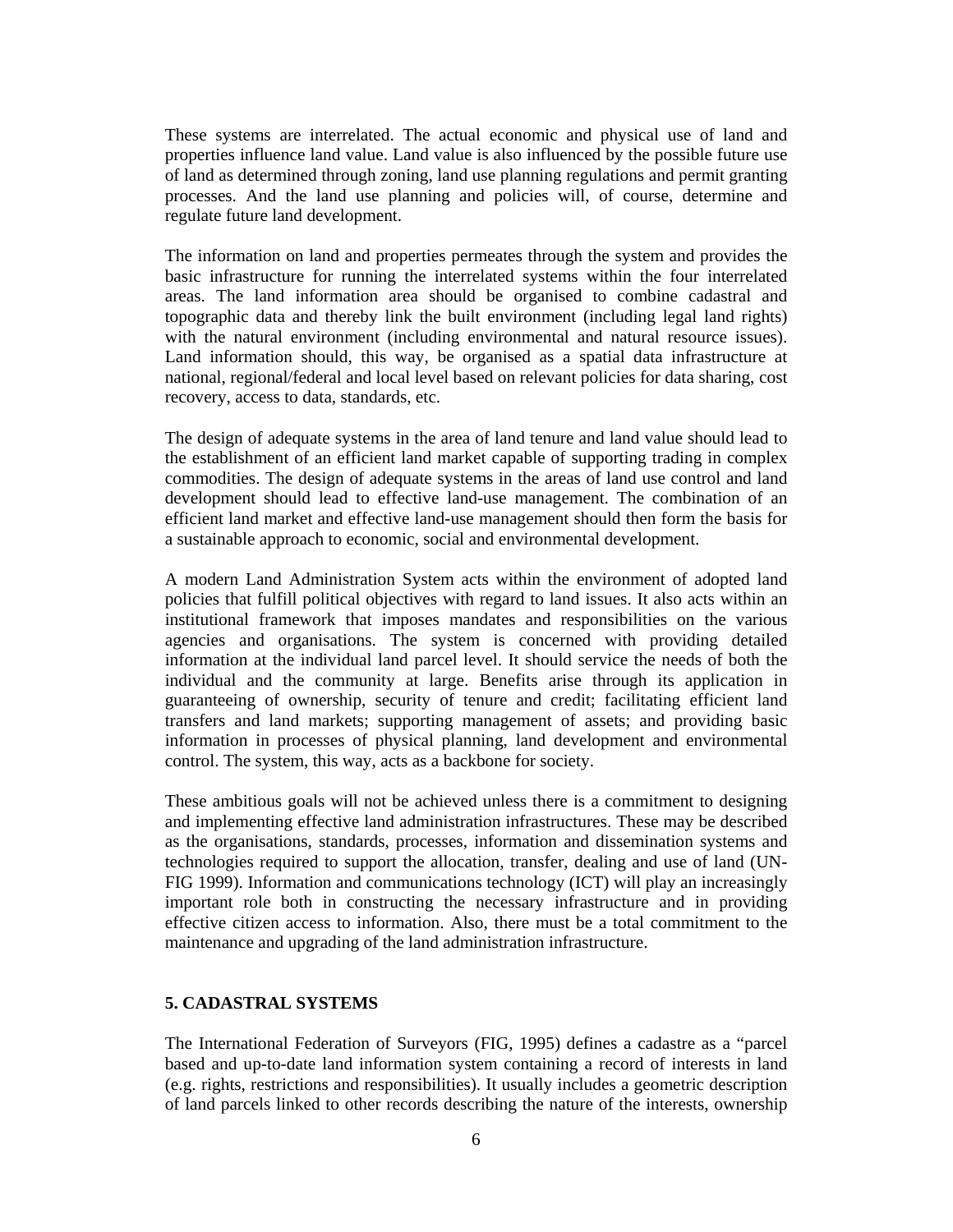These systems are interrelated. The actual economic and physical use of land and properties influence land value. Land value is also influenced by the possible future use of land as determined through zoning, land use planning regulations and permit granting processes. And the land use planning and policies will, of course, determine and regulate future land development.

The information on land and properties permeates through the system and provides the basic infrastructure for running the interrelated systems within the four interrelated areas. The land information area should be organised to combine cadastral and topographic data and thereby link the built environment (including legal land rights) with the natural environment (including environmental and natural resource issues). Land information should, this way, be organised as a spatial data infrastructure at national, regional/federal and local level based on relevant policies for data sharing, cost recovery, access to data, standards, etc.

The design of adequate systems in the area of land tenure and land value should lead to the establishment of an efficient land market capable of supporting trading in complex commodities. The design of adequate systems in the areas of land use control and land development should lead to effective land-use management. The combination of an efficient land market and effective land-use management should then form the basis for a sustainable approach to economic, social and environmental development.

A modern Land Administration System acts within the environment of adopted land policies that fulfill political objectives with regard to land issues. It also acts within an institutional framework that imposes mandates and responsibilities on the various agencies and organisations. The system is concerned with providing detailed information at the individual land parcel level. It should service the needs of both the individual and the community at large. Benefits arise through its application in guaranteeing of ownership, security of tenure and credit; facilitating efficient land transfers and land markets; supporting management of assets; and providing basic information in processes of physical planning, land development and environmental control. The system, this way, acts as a backbone for society.

These ambitious goals will not be achieved unless there is a commitment to designing and implementing effective land administration infrastructures. These may be described as the organisations, standards, processes, information and dissemination systems and technologies required to support the allocation, transfer, dealing and use of land (UN-FIG 1999). Information and communications technology (ICT) will play an increasingly important role both in constructing the necessary infrastructure and in providing effective citizen access to information. Also, there must be a total commitment to the maintenance and upgrading of the land administration infrastructure.

#### **5. CADASTRAL SYSTEMS**

The International Federation of Surveyors (FIG, 1995) defines a cadastre as a "parcel based and up-to-date land information system containing a record of interests in land (e.g. rights, restrictions and responsibilities). It usually includes a geometric description of land parcels linked to other records describing the nature of the interests, ownership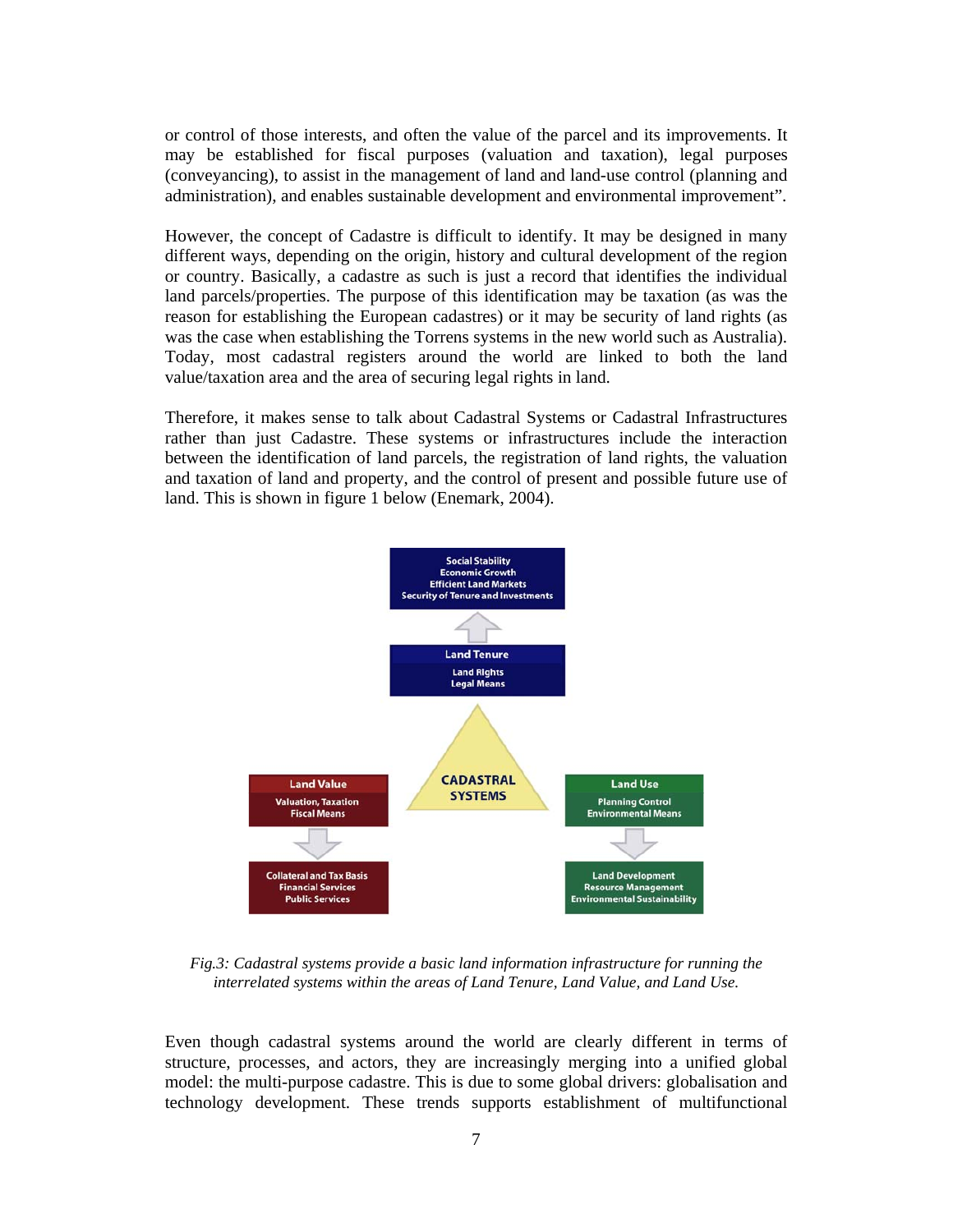or control of those interests, and often the value of the parcel and its improvements. It may be established for fiscal purposes (valuation and taxation), legal purposes (conveyancing), to assist in the management of land and land-use control (planning and administration), and enables sustainable development and environmental improvement".

However, the concept of Cadastre is difficult to identify. It may be designed in many different ways, depending on the origin, history and cultural development of the region or country. Basically, a cadastre as such is just a record that identifies the individual land parcels/properties. The purpose of this identification may be taxation (as was the reason for establishing the European cadastres) or it may be security of land rights (as was the case when establishing the Torrens systems in the new world such as Australia). Today, most cadastral registers around the world are linked to both the land value/taxation area and the area of securing legal rights in land.

Therefore, it makes sense to talk about Cadastral Systems or Cadastral Infrastructures rather than just Cadastre. These systems or infrastructures include the interaction between the identification of land parcels, the registration of land rights, the valuation and taxation of land and property, and the control of present and possible future use of land. This is shown in figure 1 below (Enemark, 2004).



*Fig.3: Cadastral systems provide a basic land information infrastructure for running the interrelated systems within the areas of Land Tenure, Land Value, and Land Use.* 

Even though cadastral systems around the world are clearly different in terms of structure, processes, and actors, they are increasingly merging into a unified global model: the multi-purpose cadastre. This is due to some global drivers: globalisation and technology development. These trends supports establishment of multifunctional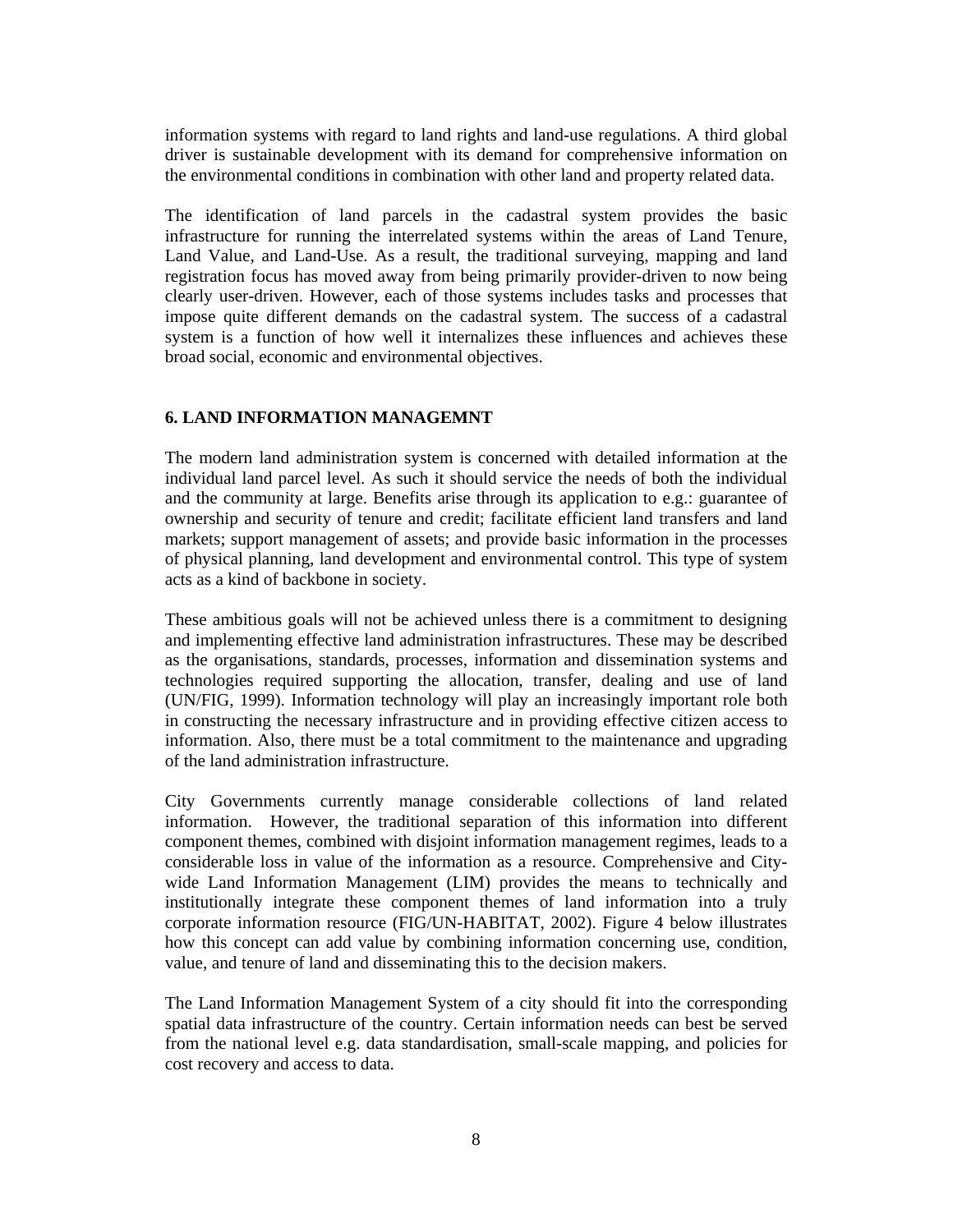information systems with regard to land rights and land-use regulations. A third global driver is sustainable development with its demand for comprehensive information on the environmental conditions in combination with other land and property related data.

The identification of land parcels in the cadastral system provides the basic infrastructure for running the interrelated systems within the areas of Land Tenure, Land Value, and Land-Use. As a result, the traditional surveying, mapping and land registration focus has moved away from being primarily provider-driven to now being clearly user-driven. However, each of those systems includes tasks and processes that impose quite different demands on the cadastral system. The success of a cadastral system is a function of how well it internalizes these influences and achieves these broad social, economic and environmental objectives.

#### **6. LAND INFORMATION MANAGEMNT**

The modern land administration system is concerned with detailed information at the individual land parcel level. As such it should service the needs of both the individual and the community at large. Benefits arise through its application to e.g.: guarantee of ownership and security of tenure and credit; facilitate efficient land transfers and land markets; support management of assets; and provide basic information in the processes of physical planning, land development and environmental control. This type of system acts as a kind of backbone in society.

These ambitious goals will not be achieved unless there is a commitment to designing and implementing effective land administration infrastructures. These may be described as the organisations, standards, processes, information and dissemination systems and technologies required supporting the allocation, transfer, dealing and use of land (UN/FIG, 1999). Information technology will play an increasingly important role both in constructing the necessary infrastructure and in providing effective citizen access to information. Also, there must be a total commitment to the maintenance and upgrading of the land administration infrastructure.

City Governments currently manage considerable collections of land related information. However, the traditional separation of this information into different component themes, combined with disjoint information management regimes, leads to a considerable loss in value of the information as a resource. Comprehensive and Citywide Land Information Management (LIM) provides the means to technically and institutionally integrate these component themes of land information into a truly corporate information resource (FIG/UN-HABITAT, 2002). Figure 4 below illustrates how this concept can add value by combining information concerning use, condition, value, and tenure of land and disseminating this to the decision makers.

The Land Information Management System of a city should fit into the corresponding spatial data infrastructure of the country. Certain information needs can best be served from the national level e.g. data standardisation, small-scale mapping, and policies for cost recovery and access to data.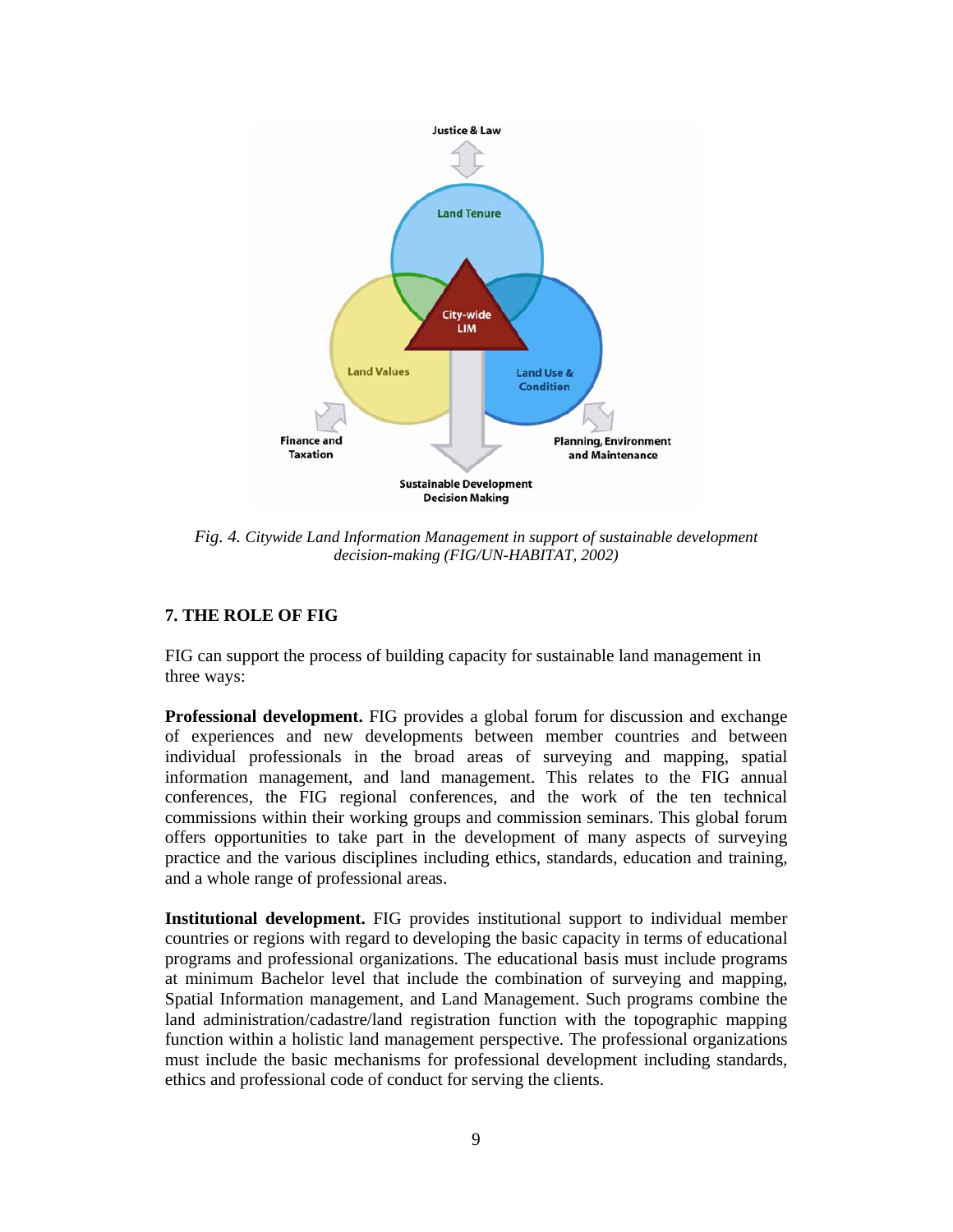

*Fig. 4. Citywide Land Information Management in support of sustainable development decision-making (FIG/UN-HABITAT, 2002)* 

### **7. THE ROLE OF FIG**

FIG can support the process of building capacity for sustainable land management in three ways:

**Professional development.** FIG provides a global forum for discussion and exchange of experiences and new developments between member countries and between individual professionals in the broad areas of surveying and mapping, spatial information management, and land management. This relates to the FIG annual conferences, the FIG regional conferences, and the work of the ten technical commissions within their working groups and commission seminars. This global forum offers opportunities to take part in the development of many aspects of surveying practice and the various disciplines including ethics, standards, education and training, and a whole range of professional areas.

**Institutional development.** FIG provides institutional support to individual member countries or regions with regard to developing the basic capacity in terms of educational programs and professional organizations. The educational basis must include programs at minimum Bachelor level that include the combination of surveying and mapping, Spatial Information management, and Land Management. Such programs combine the land administration/cadastre/land registration function with the topographic mapping function within a holistic land management perspective. The professional organizations must include the basic mechanisms for professional development including standards, ethics and professional code of conduct for serving the clients.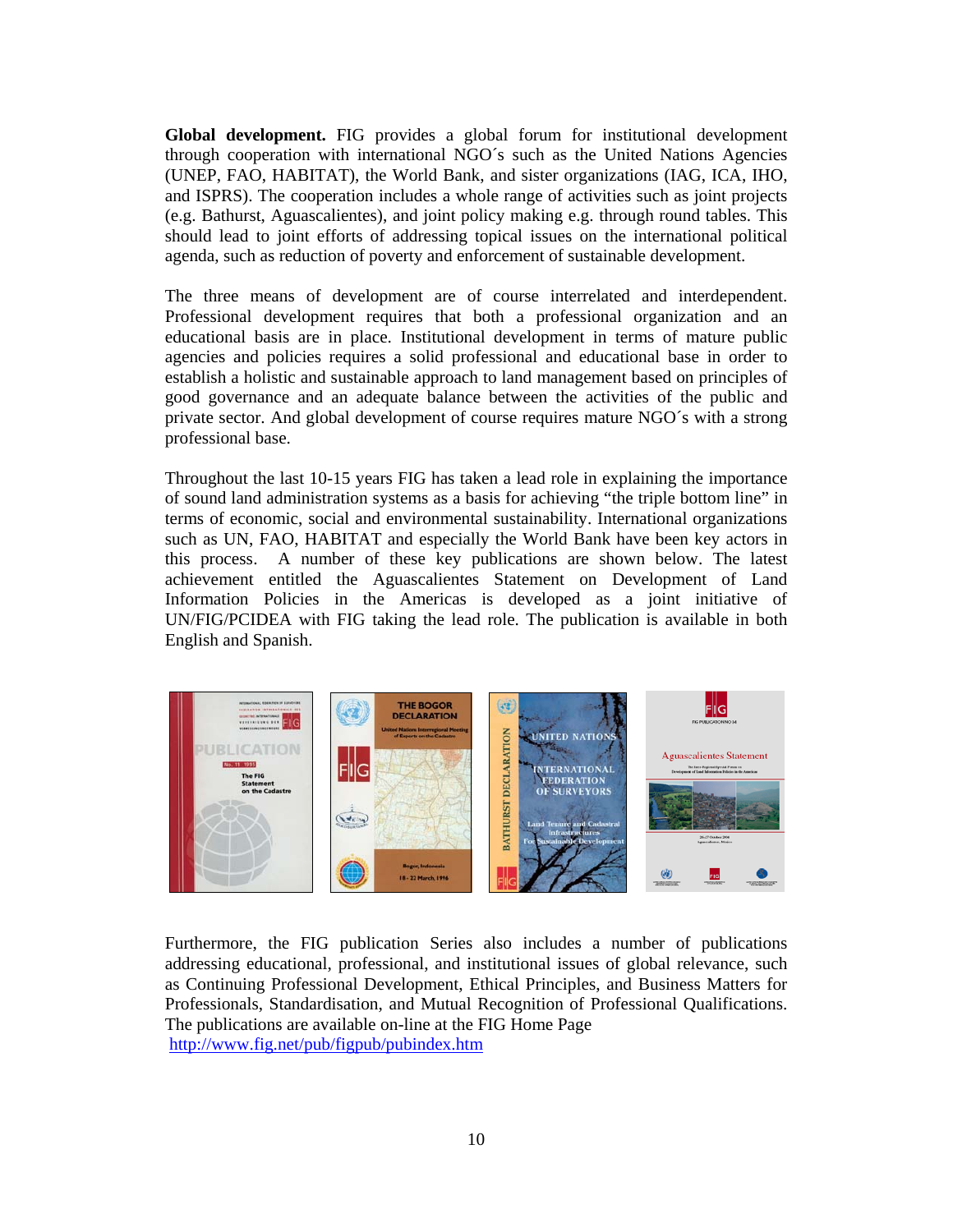**Global development.** FIG provides a global forum for institutional development through cooperation with international NGO´s such as the United Nations Agencies (UNEP, FAO, HABITAT), the World Bank, and sister organizations (IAG, ICA, IHO, and ISPRS). The cooperation includes a whole range of activities such as joint projects (e.g. Bathurst, Aguascalientes), and joint policy making e.g. through round tables. This should lead to joint efforts of addressing topical issues on the international political agenda, such as reduction of poverty and enforcement of sustainable development.

The three means of development are of course interrelated and interdependent. Professional development requires that both a professional organization and an educational basis are in place. Institutional development in terms of mature public agencies and policies requires a solid professional and educational base in order to establish a holistic and sustainable approach to land management based on principles of good governance and an adequate balance between the activities of the public and private sector. And global development of course requires mature NGO´s with a strong professional base.

Throughout the last 10-15 years FIG has taken a lead role in explaining the importance of sound land administration systems as a basis for achieving "the triple bottom line" in terms of economic, social and environmental sustainability. International organizations such as UN, FAO, HABITAT and especially the World Bank have been key actors in this process. A number of these key publications are shown below. The latest achievement entitled the Aguascalientes Statement on Development of Land Information Policies in the Americas is developed as a joint initiative of UN/FIG/PCIDEA with FIG taking the lead role. The publication is available in both English and Spanish.



Furthermore, the FIG publication Series also includes a number of publications addressing educational, professional, and institutional issues of global relevance, such as Continuing Professional Development, Ethical Principles, and Business Matters for Professionals, Standardisation, and Mutual Recognition of Professional Qualifications. The publications are available on-line at the FIG Home Page http://www.fig.net/pub/figpub/pubindex.htm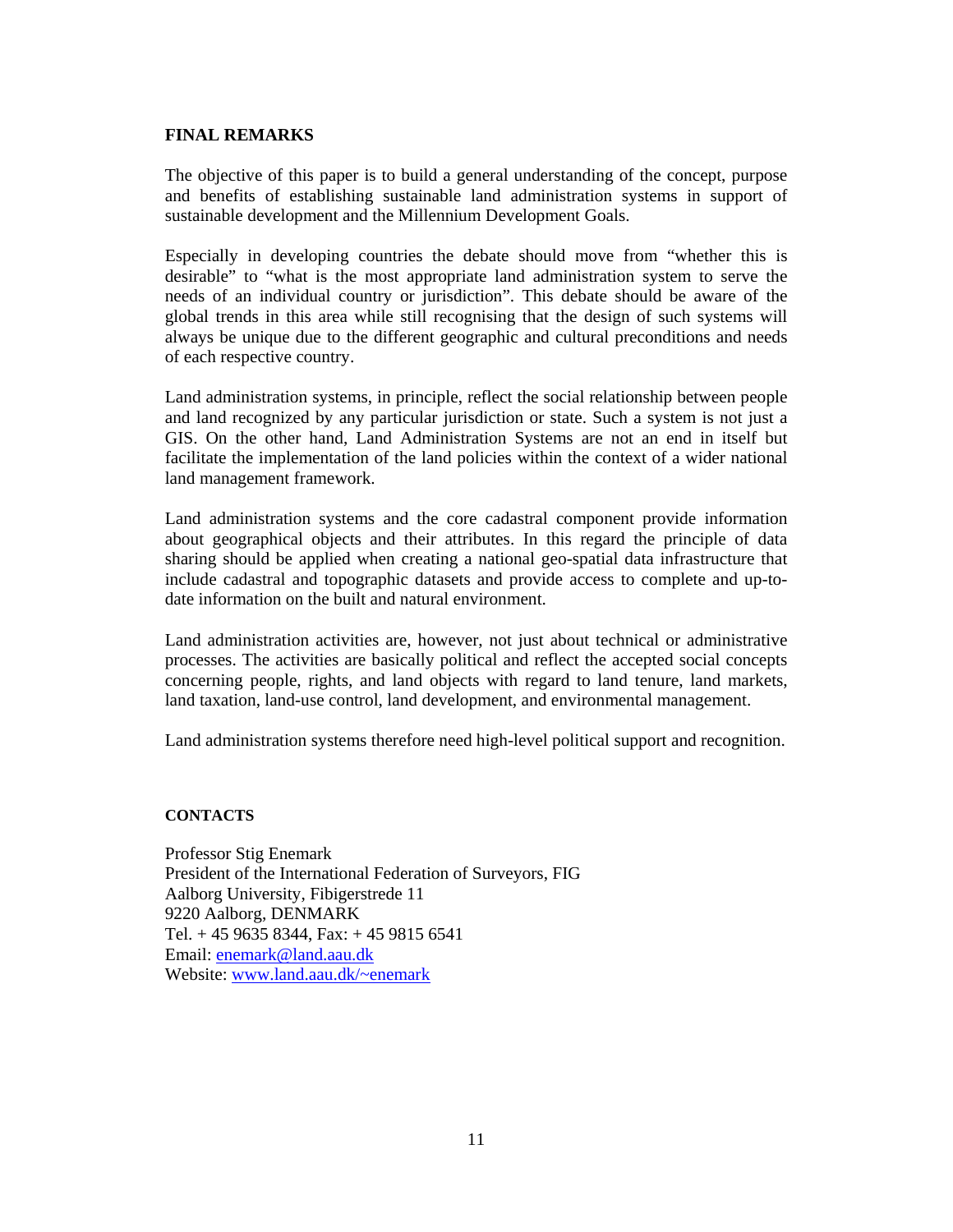#### **FINAL REMARKS**

The objective of this paper is to build a general understanding of the concept, purpose and benefits of establishing sustainable land administration systems in support of sustainable development and the Millennium Development Goals.

Especially in developing countries the debate should move from "whether this is desirable" to "what is the most appropriate land administration system to serve the needs of an individual country or jurisdiction". This debate should be aware of the global trends in this area while still recognising that the design of such systems will always be unique due to the different geographic and cultural preconditions and needs of each respective country.

Land administration systems, in principle, reflect the social relationship between people and land recognized by any particular jurisdiction or state. Such a system is not just a GIS. On the other hand, Land Administration Systems are not an end in itself but facilitate the implementation of the land policies within the context of a wider national land management framework.

Land administration systems and the core cadastral component provide information about geographical objects and their attributes. In this regard the principle of data sharing should be applied when creating a national geo-spatial data infrastructure that include cadastral and topographic datasets and provide access to complete and up-todate information on the built and natural environment.

Land administration activities are, however, not just about technical or administrative processes. The activities are basically political and reflect the accepted social concepts concerning people, rights, and land objects with regard to land tenure, land markets, land taxation, land-use control, land development, and environmental management.

Land administration systems therefore need high-level political support and recognition.

#### **CONTACTS**

Professor Stig Enemark President of the International Federation of Surveyors, FIG Aalborg University, Fibigerstrede 11 9220 Aalborg, DENMARK Tel. + 45 9635 8344, Fax: + 45 9815 6541 Email: enemark@land.aau.dk Website: www.land.aau.dk/~enemark